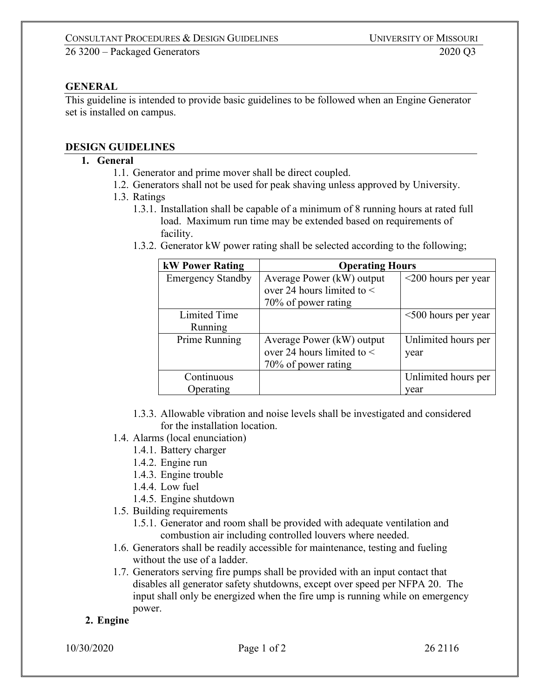#### **GENERAL**

This guideline is intended to provide basic guidelines to be followed when an Engine Generator set is installed on campus.

#### **DESIGN GUIDELINES**

#### **1. General**

- 1.1. Generator and prime mover shall be direct coupled.
- 1.2. Generators shall not be used for peak shaving unless approved by University.
- 1.3. Ratings
	- 1.3.1. Installation shall be capable of a minimum of 8 running hours at rated full load. Maximum run time may be extended based on requirements of facility.
	- 1.3.2. Generator kW power rating shall be selected according to the following;

| <b>kW Power Rating</b>   | <b>Operating Hours</b>         |                           |
|--------------------------|--------------------------------|---------------------------|
| <b>Emergency Standby</b> | Average Power (kW) output      | $\leq$ 200 hours per year |
|                          | over 24 hours limited to $\lt$ |                           |
|                          | 70% of power rating            |                           |
| Limited Time             |                                | $<500$ hours per year     |
| Running                  |                                |                           |
| Prime Running            | Average Power (kW) output      | Unlimited hours per       |
|                          | over 24 hours limited to $\lt$ | year                      |
|                          | 70% of power rating            |                           |
| Continuous               |                                | Unlimited hours per       |
| Operating                |                                | vear                      |

- 1.3.3. Allowable vibration and noise levels shall be investigated and considered for the installation location.
- 1.4. Alarms (local enunciation)
	- 1.4.1. Battery charger
	- 1.4.2. Engine run
	- 1.4.3. Engine trouble
	- 1.4.4. Low fuel
	- 1.4.5. Engine shutdown
- 1.5. Building requirements
	- 1.5.1. Generator and room shall be provided with adequate ventilation and combustion air including controlled louvers where needed.
- 1.6. Generators shall be readily accessible for maintenance, testing and fueling without the use of a ladder.
- 1.7. Generators serving fire pumps shall be provided with an input contact that disables all generator safety shutdowns, except over speed per NFPA 20. The input shall only be energized when the fire ump is running while on emergency power.

#### **2. Engine**